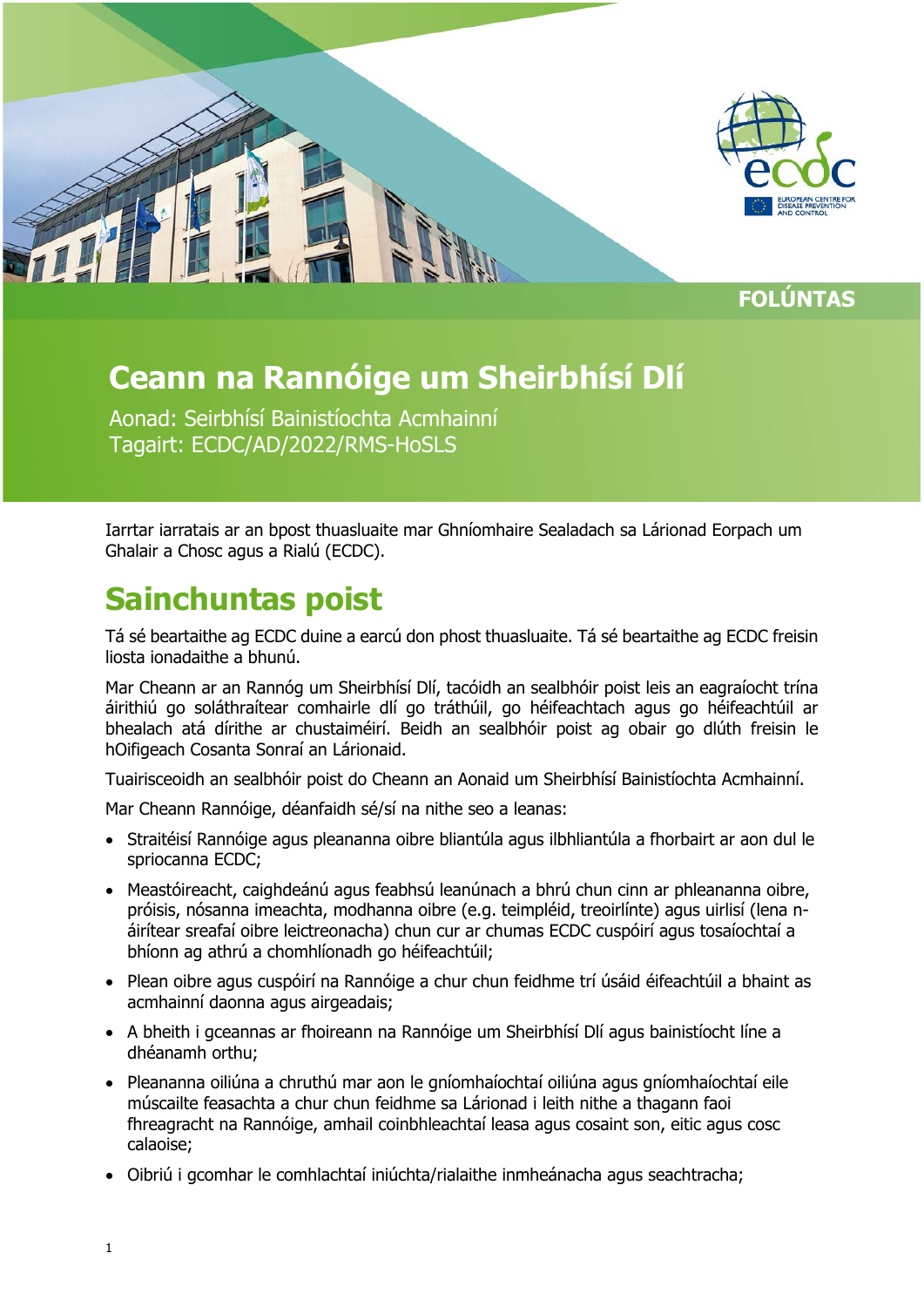

**FOLÚNTAS**

# **Ceann na Rannóige um Sheirbhísí Dlí**

Aonad: Seirbhísí Bainistíochta Acmhainní Tagairt: ECDC/AD/2022/RMS-HoSLS

Iarrtar iarratais ar an bpost thuasluaite mar Ghníomhaire Sealadach sa Lárionad Eorpach um Ghalair a Chosc agus a Rialú (ECDC).

### **Sainchuntas poist**

Tá sé beartaithe ag ECDC duine a earcú don phost thuasluaite. Tá sé beartaithe ag ECDC freisin liosta ionadaithe a bhunú.

Mar Cheann ar an Rannóg um Sheirbhísí Dlí, tacóidh an sealbhóir poist leis an eagraíocht trína áirithiú go soláthraítear comhairle dlí go tráthúil, go héifeachtach agus go héifeachtúil ar bhealach atá dírithe ar chustaiméirí. Beidh an sealbhóir poist ag obair go dlúth freisin le hOifigeach Cosanta Sonraí an Lárionaid.

Tuairisceoidh an sealbhóir poist do Cheann an Aonaid um Sheirbhísí Bainistíochta Acmhainní.

Mar Cheann Rannóige, déanfaidh sé/sí na nithe seo a leanas:

- Straitéisí Rannóige agus pleananna oibre bliantúla agus ilbhliantúla a fhorbairt ar aon dul le spriocanna ECDC;
- Meastóireacht, caighdeánú agus feabhsú leanúnach a bhrú chun cinn ar phleananna oibre, próisis, nósanna imeachta, modhanna oibre (e.g. teimpléid, treoirlínte) agus uirlisí (lena náirítear sreafaí oibre leictreonacha) chun cur ar chumas ECDC cuspóirí agus tosaíochtaí a bhíonn ag athrú a chomhlíonadh go héifeachtúil;
- Plean oibre agus cuspóirí na Rannóige a chur chun feidhme trí úsáid éifeachtúil a bhaint as acmhainní daonna agus airgeadais;
- A bheith i gceannas ar fhoireann na Rannóige um Sheirbhísí Dlí agus bainistíocht líne a dhéanamh orthu;
- Pleananna oiliúna a chruthú mar aon le gníomhaíochtaí oiliúna agus gníomhaíochtaí eile múscailte feasachta a chur chun feidhme sa Lárionad i leith nithe a thagann faoi fhreagracht na Rannóige, amhail coinbhleachtaí leasa agus cosaint son, eitic agus cosc calaoise;
- Oibriú i gcomhar le comhlachtaí iniúchta/rialaithe inmheánacha agus seachtracha;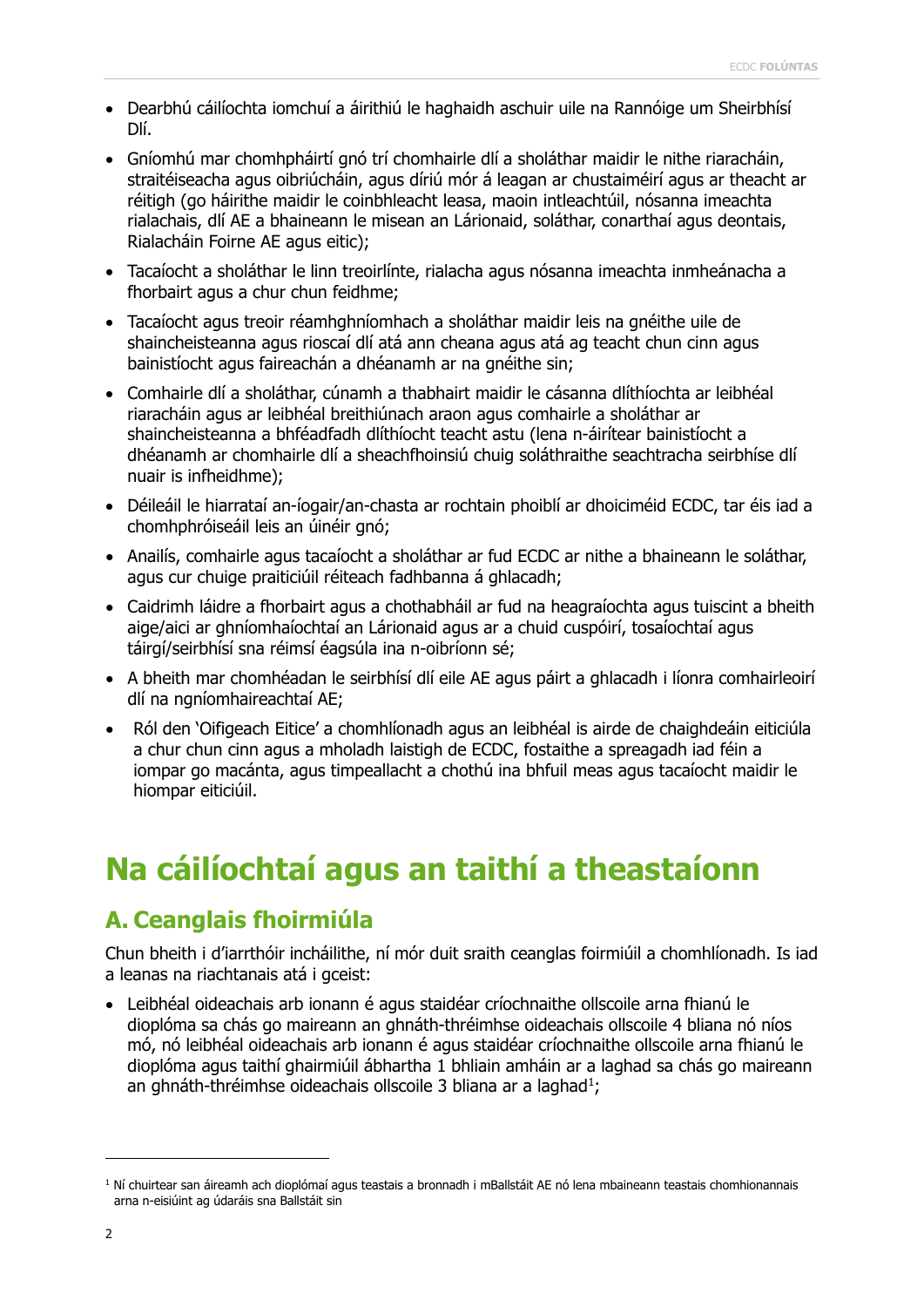- Dearbhú cáilíochta iomchuí a áirithiú le haghaidh aschuir uile na Rannóige um Sheirbhísí Dlí.
- Gníomhú mar chomhpháirtí gnó trí chomhairle dlí a sholáthar maidir le nithe riaracháin, straitéiseacha agus oibriúcháin, agus díriú mór á leagan ar chustaiméirí agus ar theacht ar réitigh (go háirithe maidir le coinbhleacht leasa, maoin intleachtúil, nósanna imeachta rialachais, dlí AE a bhaineann le misean an Lárionaid, soláthar, conarthaí agus deontais, Rialacháin Foirne AE agus eitic);
- Tacaíocht a sholáthar le linn treoirlínte, rialacha agus nósanna imeachta inmheánacha a fhorbairt agus a chur chun feidhme;
- Tacaíocht agus treoir réamhghníomhach a sholáthar maidir leis na gnéithe uile de shaincheisteanna agus rioscaí dlí atá ann cheana agus atá ag teacht chun cinn agus bainistíocht agus faireachán a dhéanamh ar na gnéithe sin;
- Comhairle dlí a sholáthar, cúnamh a thabhairt maidir le cásanna dlíthíochta ar leibhéal riaracháin agus ar leibhéal breithiúnach araon agus comhairle a sholáthar ar shaincheisteanna a bhféadfadh dlíthíocht teacht astu (lena n-áirítear bainistíocht a dhéanamh ar chomhairle dlí a sheachfhoinsiú chuig soláthraithe seachtracha seirbhíse dlí nuair is infheidhme);
- Déileáil le hiarrataí an-íogair/an-chasta ar rochtain phoiblí ar dhoiciméid ECDC, tar éis iad a chomhphróiseáil leis an úinéir gnó;
- Anailís, comhairle agus tacaíocht a sholáthar ar fud ECDC ar nithe a bhaineann le soláthar, agus cur chuige praiticiúil réiteach fadhbanna á ghlacadh;
- Caidrimh láidre a fhorbairt agus a chothabháil ar fud na heagraíochta agus tuiscint a bheith aige/aici ar ghníomhaíochtaí an Lárionaid agus ar a chuid cuspóirí, tosaíochtaí agus táirgí/seirbhísí sna réimsí éagsúla ina n-oibríonn sé;
- A bheith mar chomhéadan le seirbhísí dlí eile AE agus páirt a ghlacadh i líonra comhairleoirí dlí na ngníomhaireachtaí AE;
- Ról den 'Oifigeach Eitice' a chomhlíonadh agus an leibhéal is airde de chaighdeáin eiticiúla a chur chun cinn agus a mholadh laistigh de ECDC, fostaithe a spreagadh iad féin a iompar go macánta, agus timpeallacht a chothú ina bhfuil meas agus tacaíocht maidir le hiompar eiticiúil.

# **Na cáilíochtaí agus an taithí a theastaíonn**

### **A. Ceanglais fhoirmiúla**

Chun bheith i d'iarrthóir incháilithe, ní mór duit sraith ceanglas foirmiúil a chomhlíonadh. Is iad a leanas na riachtanais atá i gceist:

• Leibhéal oideachais arb ionann é agus staidéar críochnaithe ollscoile arna fhianú le dioplóma sa chás go maireann an ghnáth-thréimhse oideachais ollscoile 4 bliana nó níos mó, nó leibhéal oideachais arb ionann é agus staidéar críochnaithe ollscoile arna fhianú le dioplóma agus taithí ghairmiúil ábhartha 1 bhliain amháin ar a laghad sa chás go maireann an ghnáth-thréimhse oideachais ollscoile 3 bliana ar a laghad $^{\scriptscriptstyle 1}$  $^{\scriptscriptstyle 1}$  $^{\scriptscriptstyle 1}$ ;

ī

<span id="page-1-0"></span> $1$  Ní chuirtear san áireamh ach dioplómaí agus teastais a bronnadh i mBallstáit AE nó lena mbaineann teastais chomhionannais arna n-eisiúint ag údaráis sna Ballstáit sin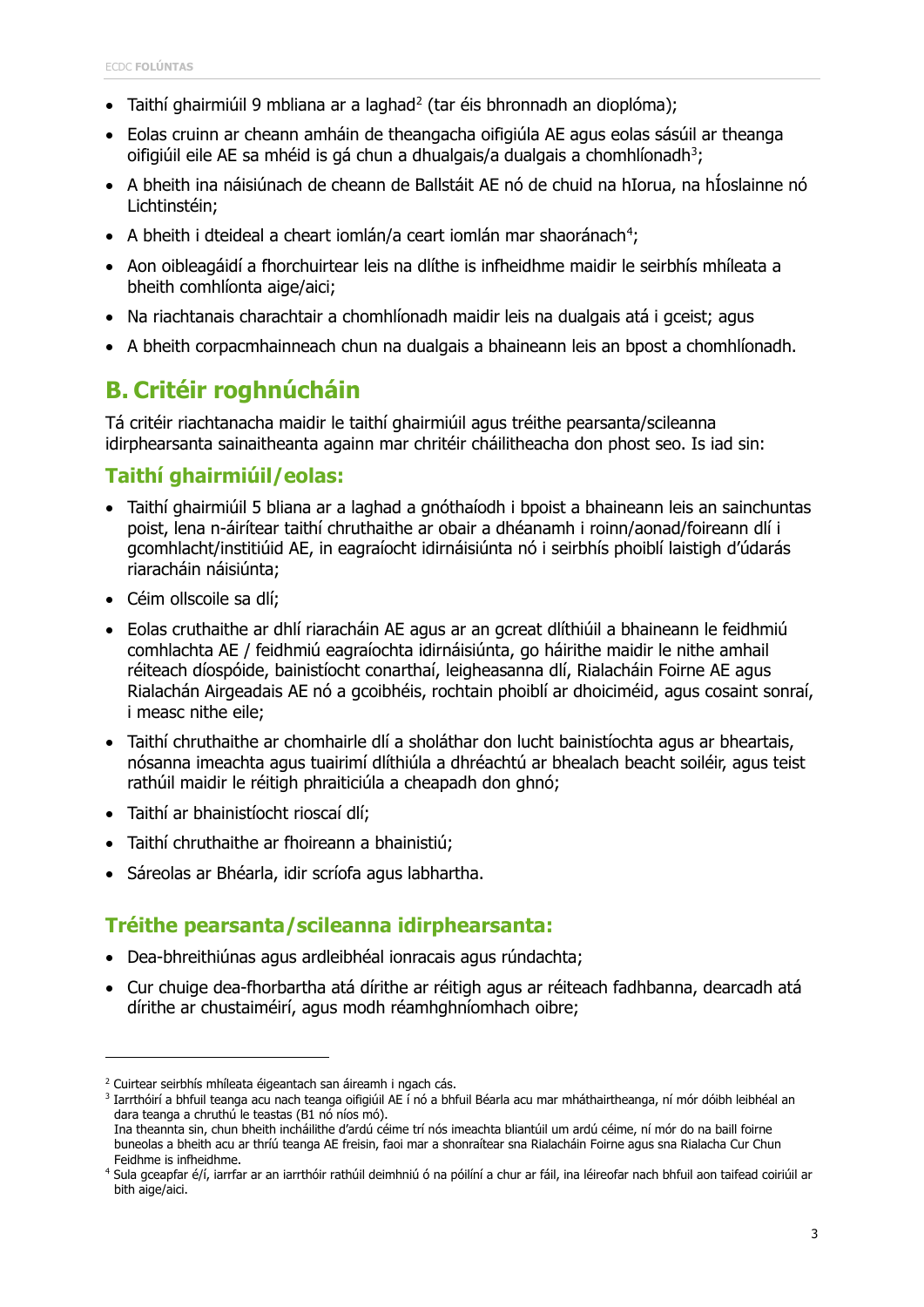- Taithí ghairmiúil 9 mbliana ar a laghad<sup>2</sup> (tar éis bhronnadh an dioplóma);
- Eolas cruinn ar cheann amháin de theangacha oifigiúla AE agus eolas sásúil ar theanga oifigiúil eile AE sa mhéid is gá chun a dhualgais/a dualgais a chomhlíonadh $^3\!$  $^3\!$  $^3\!$
- A bheith ina náisiúnach de cheann de Ballstáit AE nó de chuid na hIorua, na hÍoslainne nó Lichtinstéin;
- $\bullet$  A bheith i dteideal a cheart iomlán/a ceart iomlán mar shaoránach<sup>[4](#page-2-2)</sup>;
- Aon oibleagáidí a fhorchuirtear leis na dlíthe is infheidhme maidir le seirbhís mhíleata a bheith comhlíonta aige/aici;
- Na riachtanais charachtair a chomhlíonadh maidir leis na dualgais atá i gceist; agus
- A bheith corpacmhainneach chun na dualgais a bhaineann leis an bpost a chomhlíonadh.

### **B. Critéir roghnúcháin**

Tá critéir riachtanacha maidir le taithí ghairmiúil agus tréithe pearsanta/scileanna idirphearsanta sainaitheanta againn mar chritéir cháilitheacha don phost seo. Is iad sin:

#### **Taithí ghairmiúil/eolas:**

- Taithí ghairmiúil 5 bliana ar a laghad a gnóthaíodh i bpoist a bhaineann leis an sainchuntas poist, lena n-áirítear taithí chruthaithe ar obair a dhéanamh i roinn/aonad/foireann dlí i gcomhlacht/institiúid AE, in eagraíocht idirnáisiúnta nó i seirbhís phoiblí laistigh d'údarás riaracháin náisiúnta;
- Céim ollscoile sa dlí;

f

- Eolas cruthaithe ar dhlí riaracháin AE agus ar an gcreat dlíthiúil a bhaineann le feidhmiú comhlachta AE / feidhmiú eagraíochta idirnáisiúnta, go háirithe maidir le nithe amhail réiteach díospóide, bainistíocht conarthaí, leigheasanna dlí, Rialacháin Foirne AE agus Rialachán Airgeadais AE nó a gcoibhéis, rochtain phoiblí ar dhoiciméid, agus cosaint sonraí, i measc nithe eile;
- Taithí chruthaithe ar chomhairle dlí a sholáthar don lucht bainistíochta agus ar bheartais, nósanna imeachta agus tuairimí dlíthiúla a dhréachtú ar bhealach beacht soiléir, agus teist rathúil maidir le réitigh phraiticiúla a cheapadh don ghnó;
- Taithí ar bhainistíocht rioscaí dlí;
- Taithí chruthaithe ar fhoireann a bhainistiú;
- Sáreolas ar Bhéarla, idir scríofa agus labhartha.

### **Tréithe pearsanta/scileanna idirphearsanta:**

- Dea-bhreithiúnas agus ardleibhéal ionracais agus rúndachta;
- Cur chuige dea-fhorbartha atá dírithe ar réitigh agus ar réiteach fadhbanna, dearcadh atá dírithe ar chustaiméirí, agus modh réamhghníomhach oibre;

<span id="page-2-0"></span><sup>&</sup>lt;sup>2</sup> Cuirtear seirbhís mhíleata éigeantach san áireamh i ngach cás.

<span id="page-2-1"></span><sup>3</sup> Iarrthóirí a bhfuil teanga acu nach teanga oifigiúil AE í nó a bhfuil Béarla acu mar mháthairtheanga, ní mór dóibh leibhéal an dara teanga a chruthú le teastas (B1 nó níos mó).

Ina theannta sin, chun bheith incháilithe d'ardú céime trí nós imeachta bliantúil um ardú céime, ní mór do na baill foirne buneolas a bheith acu ar thríú teanga AE freisin, faoi mar a shonraítear sna Rialacháin Foirne agus sna Rialacha Cur Chun Feidhme is infheidhme.

<span id="page-2-2"></span><sup>4</sup> Sula gceapfar é/í, iarrfar ar an iarrthóir rathúil deimhniú ó na póilíní a chur ar fáil, ina léireofar nach bhfuil aon taifead coiriúil ar bith aige/aici.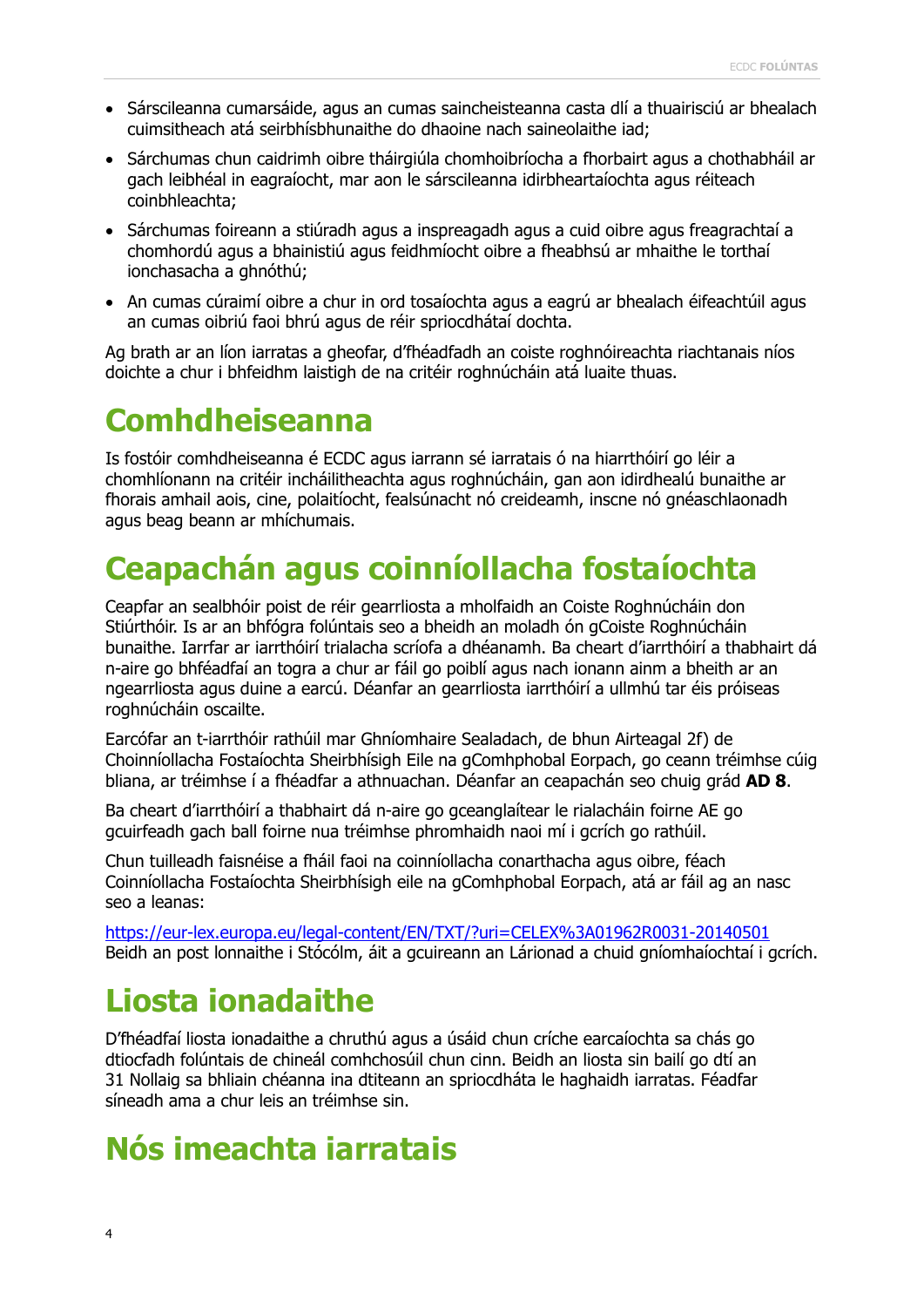- Sárscileanna cumarsáide, agus an cumas saincheisteanna casta dlí a thuairisciú ar bhealach cuimsitheach atá seirbhísbhunaithe do dhaoine nach saineolaithe iad;
- Sárchumas chun caidrimh oibre tháirgiúla chomhoibríocha a fhorbairt agus a chothabháil ar gach leibhéal in eagraíocht, mar aon le sárscileanna idirbheartaíochta agus réiteach coinbhleachta;
- Sárchumas foireann a stiúradh agus a inspreagadh agus a cuid oibre agus freagrachtaí a chomhordú agus a bhainistiú agus feidhmíocht oibre a fheabhsú ar mhaithe le torthaí ionchasacha a ghnóthú;
- An cumas cúraimí oibre a chur in ord tosaíochta agus a eagrú ar bhealach éifeachtúil agus an cumas oibriú faoi bhrú agus de réir spriocdhátaí dochta.

Ag brath ar an líon iarratas a gheofar, d'fhéadfadh an coiste roghnóireachta riachtanais níos doichte a chur i bhfeidhm laistigh de na critéir roghnúcháin atá luaite thuas.

### **Comhdheiseanna**

Is fostóir comhdheiseanna é ECDC agus iarrann sé iarratais ó na hiarrthóirí go léir a chomhlíonann na critéir incháilitheachta agus roghnúcháin, gan aon idirdhealú bunaithe ar fhorais amhail aois, cine, polaitíocht, fealsúnacht nó creideamh, inscne nó gnéaschlaonadh agus beag beann ar mhíchumais.

# **Ceapachán agus coinníollacha fostaíochta**

Ceapfar an sealbhóir poist de réir gearrliosta a mholfaidh an Coiste Roghnúcháin don Stiúrthóir. Is ar an bhfógra folúntais seo a bheidh an moladh ón gCoiste Roghnúcháin bunaithe. Iarrfar ar iarrthóirí trialacha scríofa a dhéanamh. Ba cheart d'iarrthóirí a thabhairt dá n-aire go bhféadfaí an togra a chur ar fáil go poiblí agus nach ionann ainm a bheith ar an ngearrliosta agus duine a earcú. Déanfar an gearrliosta iarrthóirí a ullmhú tar éis próiseas roghnúcháin oscailte.

Earcófar an t-iarrthóir rathúil mar Ghníomhaire Sealadach, de bhun Airteagal 2f) de Choinníollacha Fostaíochta Sheirbhísigh Eile na gComhphobal Eorpach, go ceann tréimhse cúig bliana, ar tréimhse í a fhéadfar a athnuachan. Déanfar an ceapachán seo chuig grád **AD 8**.

Ba cheart d'iarrthóirí a thabhairt dá n-aire go gceanglaítear le rialacháin foirne AE go gcuirfeadh gach ball foirne nua tréimhse phromhaidh naoi mí i gcrích go rathúil.

Chun tuilleadh faisnéise a fháil faoi na coinníollacha conarthacha agus oibre, féach Coinníollacha Fostaíochta Sheirbhísigh eile na gComhphobal Eorpach, atá ar fáil ag an nasc seo a leanas:

<https://eur-lex.europa.eu/legal-content/EN/TXT/?uri=CELEX%3A01962R0031-20140501> Beidh an post lonnaithe i Stócólm, áit a gcuireann an Lárionad a chuid gníomhaíochtaí i gcrích.

### **Liosta ionadaithe**

D'fhéadfaí liosta ionadaithe a chruthú agus a úsáid chun críche earcaíochta sa chás go dtiocfadh folúntais de chineál comhchosúil chun cinn. Beidh an liosta sin bailí go dtí an 31 Nollaig sa bhliain chéanna ina dtiteann an spriocdháta le haghaidh iarratas. Féadfar síneadh ama a chur leis an tréimhse sin.

### **Nós imeachta iarratais**